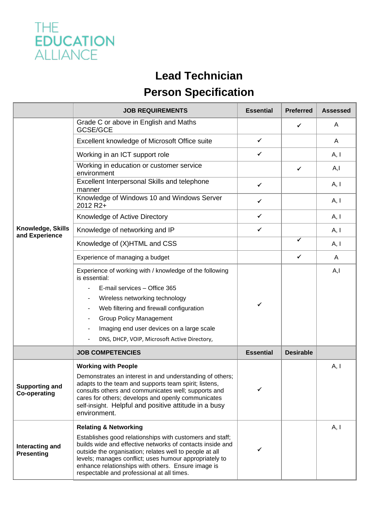

## **Lead Technician**

## **Person Specification**

|                                              | <b>JOB REQUIREMENTS</b>                                                                                                                                                                                                                                                                                                                        | <b>Essential</b> | <b>Preferred</b> | <b>Assessed</b> |
|----------------------------------------------|------------------------------------------------------------------------------------------------------------------------------------------------------------------------------------------------------------------------------------------------------------------------------------------------------------------------------------------------|------------------|------------------|-----------------|
| Knowledge, Skills<br>and Experience          | Grade C or above in English and Maths<br>GCSE/GCE                                                                                                                                                                                                                                                                                              |                  | ✓                | A               |
|                                              | Excellent knowledge of Microsoft Office suite                                                                                                                                                                                                                                                                                                  | ✓                |                  | A               |
|                                              | Working in an ICT support role                                                                                                                                                                                                                                                                                                                 | $\checkmark$     |                  | A, I            |
|                                              | Working in education or customer service<br>environment                                                                                                                                                                                                                                                                                        |                  | ✔                | A, I            |
|                                              | Excellent Interpersonal Skills and telephone<br>manner                                                                                                                                                                                                                                                                                         | $\checkmark$     |                  | A, I            |
|                                              | Knowledge of Windows 10 and Windows Server<br>2012 R2+                                                                                                                                                                                                                                                                                         | ✓                |                  | A, I            |
|                                              | Knowledge of Active Directory                                                                                                                                                                                                                                                                                                                  | ✓                |                  | A, I            |
|                                              | Knowledge of networking and IP                                                                                                                                                                                                                                                                                                                 | $\checkmark$     |                  | A, I            |
|                                              | Knowledge of (X)HTML and CSS                                                                                                                                                                                                                                                                                                                   |                  | ✔                | A, I            |
|                                              | Experience of managing a budget                                                                                                                                                                                                                                                                                                                |                  | ✔                | A               |
|                                              | Experience of working with / knowledge of the following<br>is essential:                                                                                                                                                                                                                                                                       | ✔                |                  | A, I            |
|                                              | E-mail services - Office 365                                                                                                                                                                                                                                                                                                                   |                  |                  |                 |
|                                              | Wireless networking technology                                                                                                                                                                                                                                                                                                                 |                  |                  |                 |
|                                              | Web filtering and firewall configuration                                                                                                                                                                                                                                                                                                       |                  |                  |                 |
|                                              | <b>Group Policy Management</b>                                                                                                                                                                                                                                                                                                                 |                  |                  |                 |
|                                              | Imaging end user devices on a large scale                                                                                                                                                                                                                                                                                                      |                  |                  |                 |
|                                              | DNS, DHCP, VOIP, Microsoft Active Directory,                                                                                                                                                                                                                                                                                                   |                  |                  |                 |
|                                              | <b>JOB COMPETENCIES</b>                                                                                                                                                                                                                                                                                                                        | <b>Essential</b> | <b>Desirable</b> |                 |
| <b>Supporting and</b><br><b>Co-operating</b> | <b>Working with People</b>                                                                                                                                                                                                                                                                                                                     |                  |                  | A, I            |
|                                              | Demonstrates an interest in and understanding of others;<br>adapts to the team and supports team spirit; listens,<br>consults others and communicates well; supports and<br>cares for others; develops and openly communicates<br>self-insight. Helpful and positive attitude in a busy<br>environment.                                        |                  |                  |                 |
| Interacting and<br><b>Presenting</b>         | <b>Relating &amp; Networking</b>                                                                                                                                                                                                                                                                                                               |                  |                  | A, I            |
|                                              | Establishes good relationships with customers and staff;<br>builds wide and effective networks of contacts inside and<br>outside the organisation; relates well to people at all<br>levels; manages conflict; uses humour appropriately to<br>enhance relationships with others. Ensure image is<br>respectable and professional at all times. | ✔                |                  |                 |